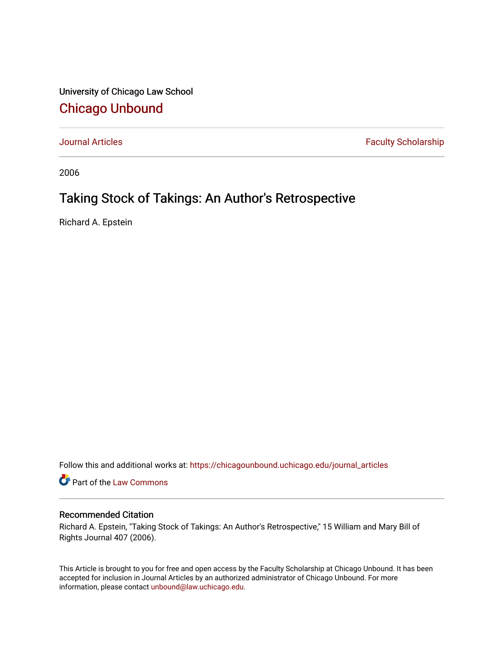University of Chicago Law School [Chicago Unbound](https://chicagounbound.uchicago.edu/)

[Journal Articles](https://chicagounbound.uchicago.edu/journal_articles) **Faculty Scholarship Faculty Scholarship** 

2006

# Taking Stock of Takings: An Author's Retrospective

Richard A. Epstein

Follow this and additional works at: [https://chicagounbound.uchicago.edu/journal\\_articles](https://chicagounbound.uchicago.edu/journal_articles?utm_source=chicagounbound.uchicago.edu%2Fjournal_articles%2F1393&utm_medium=PDF&utm_campaign=PDFCoverPages) 

Part of the [Law Commons](http://network.bepress.com/hgg/discipline/578?utm_source=chicagounbound.uchicago.edu%2Fjournal_articles%2F1393&utm_medium=PDF&utm_campaign=PDFCoverPages)

# Recommended Citation

Richard A. Epstein, "Taking Stock of Takings: An Author's Retrospective," 15 William and Mary Bill of Rights Journal 407 (2006).

This Article is brought to you for free and open access by the Faculty Scholarship at Chicago Unbound. It has been accepted for inclusion in Journal Articles by an authorized administrator of Chicago Unbound. For more information, please contact [unbound@law.uchicago.edu](mailto:unbound@law.uchicago.edu).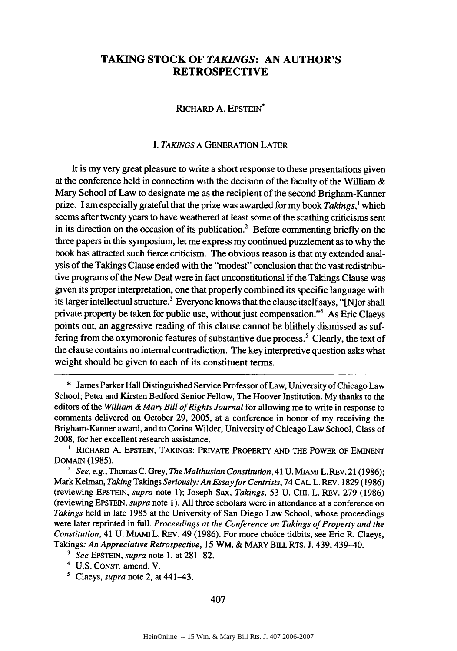# **TAKING STOCK OF** *TAKINGS:* **AN AUTHOR'S RETROSPECTIVE**

# RICHARD A. EPSTEIN\*

## *I. TAKINGS* A GENERATION LATER

It is my very great pleasure to write a short response to these presentations given at the conference held in connection with the decision of the faculty of the William  $\&$ Mary School of Law to designate me as the recipient of the second Brigham-Kanner prize. I am especially grateful that the prize was awarded for my book *Takings,'* which seems after twenty years to have weathered at least some of the scathing criticisms sent in its direction on the occasion of its publication.<sup>2</sup> Before commenting briefly on the three papers in this symposium, let me express my continued puzzlement as to why the book has attracted such fierce criticism. The obvious reason is that my extended analysis of the Takings Clause ended with the "modest" conclusion that the vast redistributive programs of the New Deal were in fact unconstitutional if the Takings Clause was given its proper interpretation, one that properly combined its specific language with its larger intellectual structure.<sup>3</sup> Everyone knows that the clause itself says, "[N]or shall private property be taken for public use, without just compensation."4 As Eric Claeys points out, an aggressive reading of this clause cannot be blithely dismissed as suffering from the oxymoronic features of substantive due process. 5 Clearly, the text of the clause contains no internal contradiction. The key interpretive question asks what weight should be given to each of its constituent terms.

- **<sup>3</sup>***See* EPSTEIN, *supra* note 1, at 281-82.
- <sup>4</sup>U.S. CONST. amend. V.
- **'** Claeys, *supra* note 2, at 441-43.

<sup>\*</sup> James Parker Hall Distinguished Service Professor of Law, University of Chicago Law School; Peter and Kirsten Bedford Senior Fellow, The Hoover Institution. My thanks to the editors of the *William & Mary Bill of Rights Journal* for allowing me to write in response to comments delivered on October 29, 2005, at a conference in honor of my receiving the Brigham-Kanner award, and to Corina Wilder, University of Chicago Law School, Class of 2008, for her excellent research assistance.

RICHARD A. EPSTEIN, TAKINGS: PRIVATE PROPERTY **AND** THE POWER OF EMINENT DOMAIN (1985).

*<sup>2</sup> See, e.g.,* Thomas C. Grey, *The Malthusian Constitution,* 41 U. MIAMI L. REV. 21 (1986); Mark Kelman, *Taking* Takings *Seriously: An Essay for Centrists,* 74 CAL. L. REV. 1829 (1986) (reviewing EPSTEIN, *supra* note 1); Joseph Sax, *Takings,* 53 U. CHI. L. REV. 279 (1986) (reviewing EPSTEIN, *supra* note 1). All three scholars were in attendance at a conference on *Takings* held in late 1985 at the University of San Diego Law School, whose proceedings were later reprinted in full. *Proceedings at the Conference on Takings of Property and the Constitution,* 41 U. MIAMI L. REV. 49 (1986). For more choice tidbits, see Eric R. Claeys, Takings: *An Appreciative Retrospective,* 15 WM. & MARY BILL RTS. J. 439, 439-40.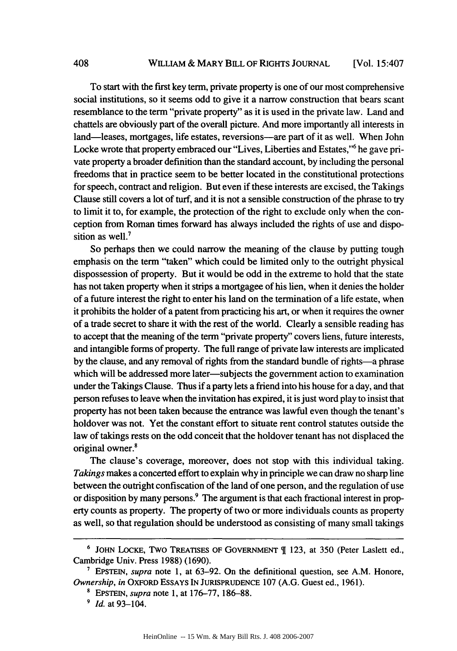To start with the first key term, private property is one of our most comprehensive social institutions, so it seems odd to give it a narrow construction that bears scant resemblance to the term "private property" as it is used in the private law. Land and chattels are obviously part of the overall picture. And more importantly all interests in land—leases, mortgages, life estates, reversions—are part of it as well. When John Locke wrote that property embraced our "Lives, Liberties and Estates," he gave private property a broader definition than the standard account, by including the personal freedoms that in practice seem to be better located in the constitutional protections for speech, contract and religion. But even if these interests are excised, the Takings Clause still covers a lot of turf, and it is not a sensible construction of the phrase to try to limit it to, for example, the protection of the right to exclude only when the conception from Roman times forward has always included the rights of use and disposition as well.<sup>7</sup>

So perhaps then we could narrow the meaning of the clause by putting tough emphasis on the term "taken" which could be limited only to the outright physical dispossession of property. But it would be odd in the extreme to hold that the state has not taken property when it strips a mortgagee of his lien, when it denies the holder of a future interest the right to enter his land on the termination of a life estate, when it prohibits the holder of a patent from practicing his art, or when it requires the owner of a trade secret to share it with the rest of the world. Clearly a sensible reading has to accept that the meaning of the term "private property" covers liens, future interests, and intangible forms of property. The full range of private law interests are implicated by the clause, and any removal of rights from the standard bundle of rights-a phrase which will be addressed more later-subjects the government action to examination under the Takings Clause. Thus if a party lets a friend into his house for a day, and that person refuses to leave when the invitation has expired, it is just word play to insist that property has not been taken because the entrance was lawful even though the tenant's holdover was not. Yet the constant effort to situate rent control statutes outside the law of takings rests on the odd conceit that the holdover tenant has not displaced the original owner.'

The clause's coverage, moreover, does not stop with this individual taking. *Takings* makes a concerted effort to explain why in principle we can draw no sharp line between the outright confiscation of the land of one person, and the regulation of use or disposition by many persons.<sup>9</sup> The argument is that each fractional interest in property counts as property. The property of two or more individuals counts as property as well, so that regulation should be understood as consisting of many small takings

**<sup>6</sup>** JOHN LOCKE, Two TREATIsEs OF GOVERNMENT [ 123, at 350 (Peter Laslett ed., Cambridge Univ. Press 1988) (1690).

**<sup>7</sup>** EPSTEIN, *supra* note 1, at 63-92. On the definitional question, see A.M. Honore, *Ownership, in* OXFORD ESSAYS IN JURISPRUDENCE 107 (A.G. Guest ed., 1961).

**<sup>8</sup>**EPSTEIN, *supra* note 1, at 176-77, 186-88.

**<sup>9</sup>** *Id.* at 93-104.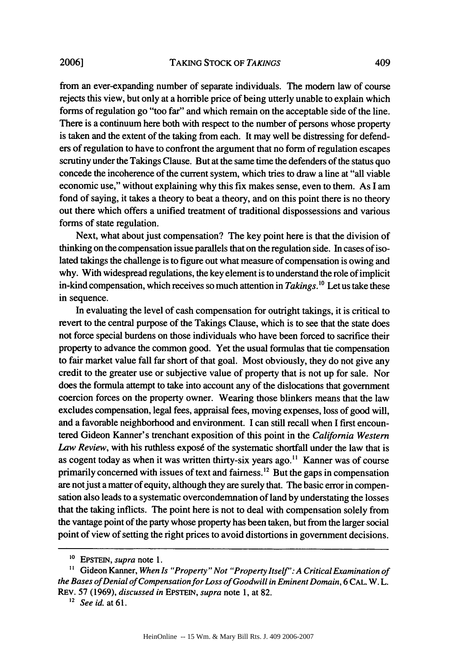from an ever-expanding number of separate individuals. The modem law of course rejects this view, but only at a horrible price of being utterly unable to explain which forms of regulation go "too far" and which remain on the acceptable side of the line. There is a continuum here both with respect to the number of persons whose property is taken and the extent of the taking from each. It may well be distressing for defenders of regulation to have to confront the argument that no form of regulation escapes scrutiny under the Takings Clause. But at the same time the defenders of the status quo concede the incoherence of the current system, which tries to draw a line at "all viable economic use," without explaining why this fix makes sense, even to them. As I am fond of saying, it takes a theory to beat a theory, and on this point there is no theory out there which offers a unified treatment of traditional dispossessions and various forms of state regulation.

Next, what about just compensation? The key point here is that the division of thinking on the compensation issue parallels that on the regulation side. In cases of isolated takings the challenge is to figure out what measure of compensation is owing and why. With widespread regulations, the key element is to understand the role of implicit in-kind compensation, which receives so much attention in *Takings.10* Let us take these in sequence.

In evaluating the level of cash compensation for outright takings, it is critical to revert to the central purpose of the Takings Clause, which is to see that the state does not force special burdens on those individuals who have been forced to sacrifice their property to advance the common good. Yet the usual formulas that tie compensation to fair market value fall far short of that goal. Most obviously, they do not give any credit to the greater use or subjective value of property that is not up for sale. Nor does the formula attempt to take into account any of the dislocations that government coercion forces on the property owner. Wearing those blinkers means that the law excludes compensation, legal fees, appraisal fees, moving expenses, loss of good will, and a favorable neighborhood and environment. I can still recall when I first encountered Gideon Kanner's trenchant exposition of this point in the *California Western* Law Review, with his ruthless exposé of the systematic shortfall under the law that is as cogent today as when it was written thirty-six years ago. **"** Kanner was of course primarily concerned with issues of text and fairness.<sup>12</sup> But the gaps in compensation are not just a matter of equity, although they are surely that. The basic error in compensation also leads to a systematic overcondemnation of land by understating the losses that the taking inflicts. The point here is not to deal with compensation solely from the vantage point of the party whose property has been taken, but from the larger social point of view of setting the right prices to avoid distortions in government decisions.

**<sup>10</sup>**EPSTEIN, *supra* note 1.

**<sup>&</sup>quot;** Gideon Kanner, *When Is "Property" Not "Property Itself': A Critical Examination of the Bases of Denial of Compensation for Loss of Goodwill in Eminent Domain,* 6 CAL. W. L. REV. 57 (1969), *discussed in* EPSTEIN, *supra* note 1, at 82.

*<sup>2</sup> See id.* at **61.**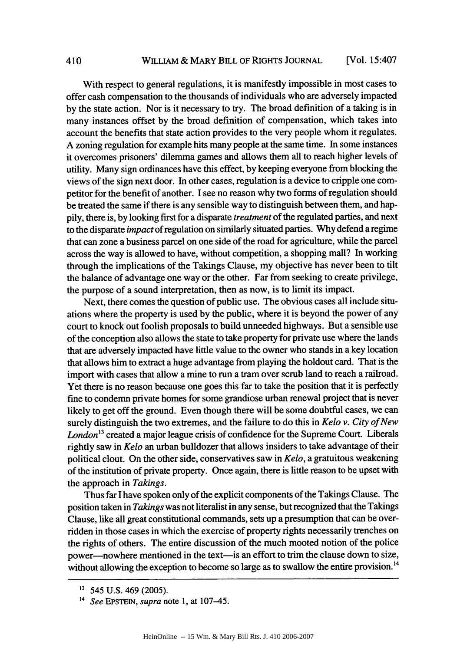With respect to general regulations, it is manifestly impossible in most cases to offer cash compensation to the thousands of individuals who are adversely impacted by the state action. Nor is it necessary to try. The broad definition of a taking is in many instances offset by the broad definition of compensation, which takes into account the benefits that state action provides to the very people whom it regulates. A zoning regulation for example hits many people at the same time. In some instances it overcomes prisoners' dilemma games and allows them all to reach higher levels of utility. Many sign ordinances have this effect, by keeping everyone from blocking the views of the sign next door. In other cases, regulation is a device to cripple one competitor for the benefit of another. I see no reason why two forms of regulation should be treated the same if there is any sensible way to distinguish between them, and happily, there is, by looking first for a disparate *treatment* of the regulated parties, and next to the disparate *impact* of regulation on similarly situated parties. Why defend a regime that can zone a business parcel on one side of the road for agriculture, while the parcel across the way is allowed to have, without competition, a shopping mall? In working through the implications of the Takings Clause, my objective has never been to tilt the balance of advantage one way or the other. Far from seeking to create privilege, the purpose of a sound interpretation, then as now, is to limit its impact.

Next, there comes the question of public use. The obvious cases all include situations where the property is used by the public, where it is beyond the power of any court to knock out foolish proposals to build unneeded highways. But a sensible use of the conception also allows the state to take property for private use where the lands that are adversely impacted have little value to the owner who stands in a key location that allows him to extract a huge advantage from playing the holdout card. That is the import with cases that allow a mine to run a tram over scrub land to reach a railroad. Yet there is no reason because one goes this far to take the position that it is perfectly fine to condemn private homes for some grandiose urban renewal project that is never likely to get off the ground. Even though there will be some doubtful cases, we can surely distinguish the two extremes, and the failure to do this in *Kelo v. City of New London13* created a major league crisis of confidence for the Supreme Court. Liberals rightly saw in *Kelo* an urban bulldozer that allows insiders to take advantage of their political clout. On the other side, conservatives saw in *Kelo,* a gratuitous weakening of the institution of private property. Once again, there is little reason to be upset with the approach in *Takings.*

Thus far I have spoken only of the explicit components of the Takings Clause. The position taken in *Takings* was not literalist in any sense, but recognized that the Takings Clause, like all great constitutional commands, sets up a presumption that can be overridden in those cases in which the exercise of property rights necessarily trenches on the rights of others. The entire discussion of the much mooted notion of the police power—nowhere mentioned in the text—is an effort to trim the clause down to size, without allowing the exception to become so large as to swallow the entire provision.<sup>14</sup>

410

**<sup>11</sup>** 545 U.S. 469 (2005).

<sup>14</sup>*See* EPSTEIN, *supra* note 1, at 107-45.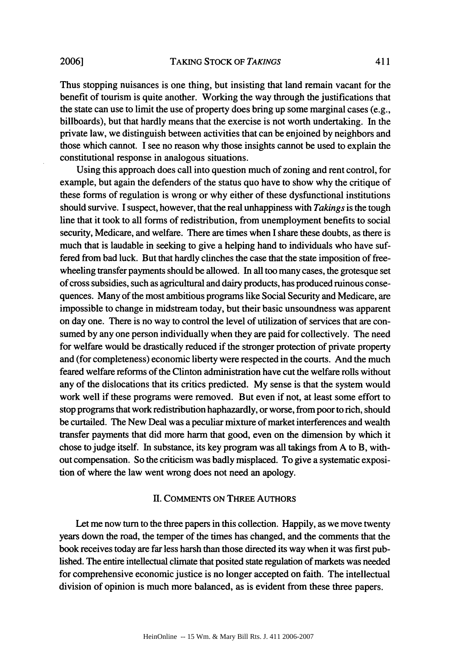Thus stopping nuisances is one thing, but insisting that land remain vacant for the benefit of tourism is quite another. Working the way through the justifications that the state can use to limit the use of property does bring up some marginal cases (e.g., billboards), but that hardly means that the exercise is not worth undertaking. In the private law, we distinguish between activities that can be enjoined by neighbors and those which cannot. I see no reason why those insights cannot be used to explain the constitutional response in analogous situations.

Using this approach does call into question much of zoning and rent control, for example, but again the defenders of the status quo have to show why the critique of these forms of regulation is wrong or why either of these dysfunctional institutions should survive. I suspect, however, that the real unhappiness with *Takings* is the tough line that it took to all forms of redistribution, from unemployment benefits to social security, Medicare, and welfare. There are times when I share these doubts, as there is much that is laudable in seeking to give a helping hand to individuals who have suffered from bad luck. But that hardly clinches the case that the state imposition of freewheeling transfer payments should be allowed. In all too many cases, the grotesque set of cross subsidies, such as agricultural and dairy products, has produced ruinous consequences. Many of the most ambitious programs like Social Security and Medicare, are impossible to change in midstream today, but their basic unsoundness was apparent on day one. There is no way to control the level of utilization of services that are consumed by any one person individually when they are paid for collectively. The need for welfare would be drastically reduced if the stronger protection of private property and (for completeness) economic liberty were respected in the courts. And the much feared welfare reforms of the Clinton administration have cut the welfare rolls without any of the dislocations that its critics predicted. My sense is that the system would work well if these programs were removed. But even if not, at least some effort to stop programs that work redistribution haphazardly, or worse, from poor to rich, should be curtailed. The New Deal was a peculiar mixture of market interferences and wealth transfer payments that did more harm that good, even on the dimension by which it chose to judge itself. In substance, its key program was all takings from A to B, without compensation. So the criticism was badly misplaced. To give a systematic exposition of where the law went wrong does not need an apology.

## HI. COMMENTS ON THREE AUTHORS

Let me now turn to the three papers in this collection. Happily, as we move twenty years down the road, the temper of the times has changed, and the comments that the book receives today are far less harsh than those directed its way when it was first published. The entire intellectual climate that posited state regulation of markets was needed for comprehensive economic justice is no longer accepted on faith. The intellectual division of opinion is much more balanced, as is evident from these three papers.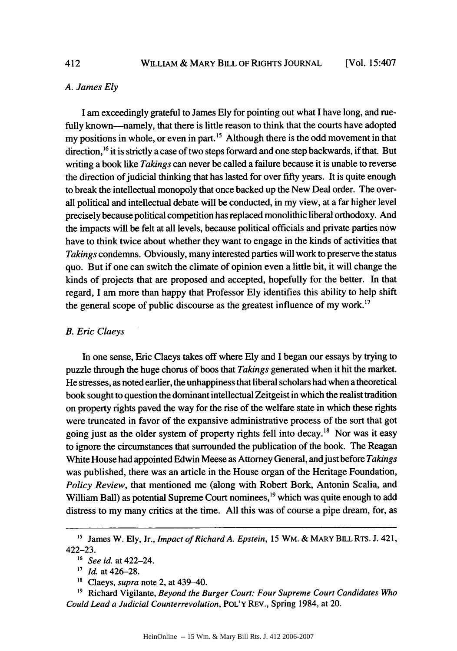### *A. James Ely*

I am exceedingly grateful to James Ely for pointing out what I have long, and ruefully known-namely, that there is little reason to think that the courts have adopted my positions in whole, or even in part.<sup>15</sup> Although there is the odd movement in that direction, <sup>16</sup> it is strictly a case of two steps forward and one step backwards, if that. But writing a book like *Takings* can never be called a failure because it is unable to reverse the direction of judicial thinking that has lasted for over fifty years. It is quite enough to break the intellectual monopoly that once backed up the New Deal order. The overall political and intellectual debate will be conducted, in my view, at a far higher level precisely because political competition has replaced monolithic liberal orthodoxy. And the impacts will be felt at all levels, because political officials and private parties now have to think twice about whether they want to engage in the kinds of activities that *Takings* condemns. Obviously, many interested parties will work to preserve the status quo. But if one can switch the climate of opinion even a little bit, it will change the kinds of projects that are proposed and accepted, hopefully for the better. In that regard, I am more than happy that Professor Ely identifies this ability to help shift the general scope of public discourse as the greatest influence of my work.<sup>17</sup>

### *B. Eric Claeys*

In one sense, Eric Claeys takes off where Ely and I began our essays by trying to puzzle through the huge chorus of boos that *Takings* generated when it hit the market. He stresses, as noted earlier, the unhappiness that liberal scholars had when a theoretical book sought to question the dominant intellectual Zeitgeist in which the realist tradition on property rights paved the way for the rise of the welfare state in which these rights were truncated in favor of the expansive administrative process of the sort that got going just as the older system of property rights fell into decay.<sup>18</sup> Nor was it easy to ignore the circumstances that surrounded the publication of the book. The Reagan White House had appointed Edwin Meese as Attorney General, and just before *Takings* was published, there was an article in the House organ of the Heritage Foundation, *Policy Review,* that mentioned me (along with Robert Bork, Antonin Scalia, and William Ball) as potential Supreme Court nominees,<sup>19</sup> which was quite enough to add distress to my many critics at the time. All this was of course a pipe dream, for, as

412

**<sup>&</sup>quot;5** James W. Ely, Jr., *Impact of Richard A. Epstein,* 15 WM. **&** MARY BILL RTs. **J.** 421, 422-23.

*<sup>16</sup> See id.* at 422-24.

*<sup>&#</sup>x27;7 Id.* at 426-28.

*<sup>&#</sup>x27;s* Claeys, *supra* note 2, at 439-40.

**<sup>&#</sup>x27;9** Richard Vigilante, *Beyond the Burger Court: Four Supreme Court Candidates Who Could Lead a Judicial Counterrevolution,* **POL'Y** REv., Spring 1984, at 20.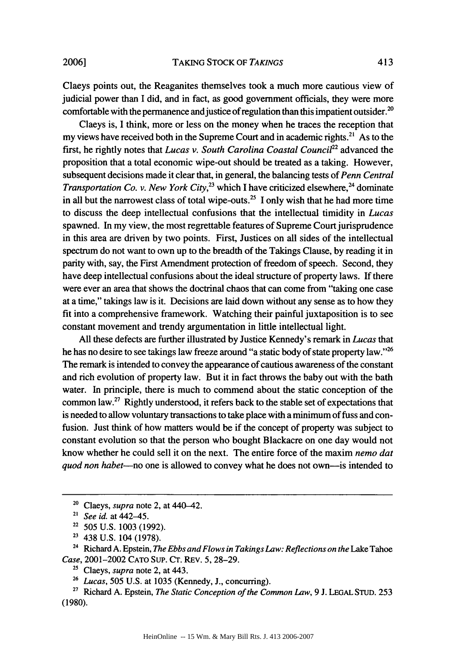Claeys points out, the Reaganites themselves took a much more cautious view of judicial power than I did, and in fact, as good government officials, they were more comfortable with the permanence and justice of regulation than this impatient outsider.<sup>2</sup>

Claeys is, I think, more or less on the money when he traces the reception that my views have received both in the Supreme Court and in academic rights.<sup>21</sup> As to the first, he rightly notes that *Lucas v. South Carolina Coastal Council2 <sup>2</sup>*advanced the proposition that a total economic wipe-out should be treated as a taking. However, subsequent decisions made it clear that, in general, the balancing tests of *Penn Central Transportation Co. v. New York City*,  $^{23}$  which I have criticized elsewhere,  $^{24}$  dominate in all but the narrowest class of total wipe-outs.<sup>25</sup> I only wish that he had more time to discuss the deep intellectual confusions that the intellectual timidity in *Lucas* spawned. In my view, the most regrettable features of Supreme Court jurisprudence in this area are driven by two points. First, Justices on all sides of the intellectual spectrum do not want to own up to the breadth of the Takings Clause, by reading it in parity with, say, the First Amendment protection of freedom of speech. Second, they have deep intellectual confusions about the ideal structure of property laws. If there were ever an area that shows the doctrinal chaos that can come from "taking one case at a time," takings law is it. Decisions are laid down without any sense as to how they fit into a comprehensive framework. Watching their painful juxtaposition is to see constant movement and trendy argumentation in little intellectual light.

All these defects are further illustrated by Justice Kennedy's remark in *Lucas* that he has no desire to see takings law freeze around "a static body of state property law."'26 The remark is intended to convey the appearance of cautious awareness of the constant and rich evolution of property law. But it in fact throws the baby out with the bath water. In principle, there is much to commend about the static conception of the common law.27 Rightly understood, it refers back to the stable set of expectations that is needed to allow voluntary transactions to take place with a minimum of fuss and confusion. Just think of how matters would be if the concept of property was subject to constant evolution so that the person who bought Blackacre on one day would not know whether he could sell it on the next. The entire force of the maxim *nemo dat quod non habet*—no one is allowed to convey what he does not own—is intended to

- **<sup>22</sup>**505 U.S. 1003 (1992).
- **<sup>23</sup>**438 U.S. 104 (1978).

**<sup>25</sup>**Claeys, *supra* note 2, at 443.

**<sup>20</sup>**Claeys, *supra* note 2, at 440-42.

**<sup>21</sup>** *See* id. at 442-45.

<sup>&</sup>lt;sup>24</sup> Richard A. Epstein, *The Ebbs and Flows in Takings Law: Reflections on the* Lake Tahoe *Case,* 2001-2002 CATO SUP. CT. REv. 5, 28-29.

*<sup>26</sup>Lucas,* 505 U.S. at 1035 (Kennedy, **J.,** concurring).

**<sup>27</sup>**Richard A. Epstein, *The Static Conception of the Common Law,* 9 J. LEGAL STUD. 253 (1980).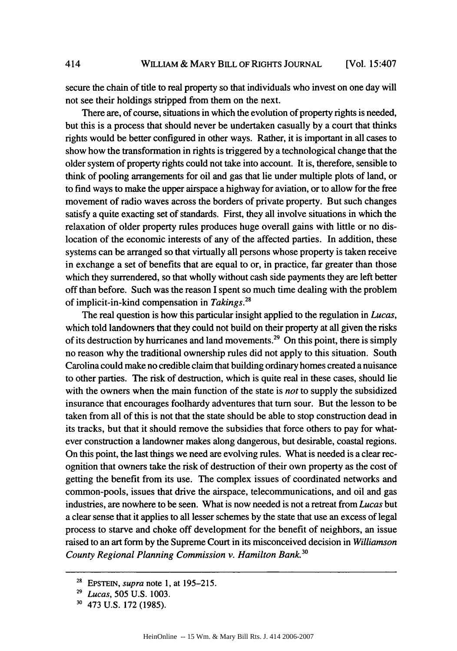secure the chain of title to real property so that individuals who invest on one day will not see their holdings stripped from them on the next.

There are, of course, situations in which the evolution of property rights is needed, but this is a process that should never be undertaken casually **by** a court that thinks rights would be better configured in other ways. Rather, it is important in all cases to show how the transformation in rights is triggered **by** a technological change that the older system of property rights could not take into account. It is, therefore, sensible to think of pooling arrangements for oil and gas that lie under multiple plots of land, or to find ways to make the upper airspace a highway for aviation, or to allow for the free movement of radio waves across the borders of private property. But such changes satisfy a quite exacting set of standards. First, they all involve situations in which the relaxation of older property rules produces huge overall gains with little or no dislocation of the economic interests of any of the affected parties. In addition, these systems can be arranged so that virtually all persons whose property is taken receive in exchange a set of benefits that are equal to or, in practice, far greater than those which they surrendered, so that wholly without cash side payments they are left better off than before. Such was the reason I spent so much time dealing with the problem of implicit-in-kind compensation in *Takings.28*

The real question is how this particular insight applied to the regulation in *Lucas,* which told landowners that they could not build on their property at all given the risks of its destruction **by** hurricanes and land movements.29 On this point, there is simply no reason why the traditional ownership rules did not apply to this situation. South Carolina could make no credible claim that building ordinary homes created a nuisance to other parties. The risk of destruction, which is quite real in these cases, should lie with the owners when the main function of the state is *not* to supply the subsidized insurance that encourages foolhardy adventures that turn sour. But the lesson to be taken from all of this is not that the state should be able to stop construction dead in its tracks, but that it should remove the subsidies that force others to pay for whatever construction a landowner makes along dangerous, but desirable, coastal regions. On this point, the last things we need are evolving rules. What is needed is a clear recognition that owners take the risk of destruction of their own property as the cost of getting the benefit from its use. The complex issues of coordinated networks and common-pools, issues that drive the airspace, telecommunications, and oil and gas industries, are nowhere to be seen. What is now needed is not a retreat from *Lucas* but a clear sense that it applies to all lesser schemes by the state that use an excess of legal process to starve and choke off development for the benefit of neighbors, an issue raised to an art form by the Supreme Court in its misconceived decision in *Williamson County Regional Planning Commission v. Hamilton Bank.3°*

414

<sup>28</sup>**EPSTEIN,** *supra* note 1, at 195-215.

*<sup>29</sup> Lucas,* 505 U.S. 1003.

<sup>30 473</sup> U.S. 172 (1985).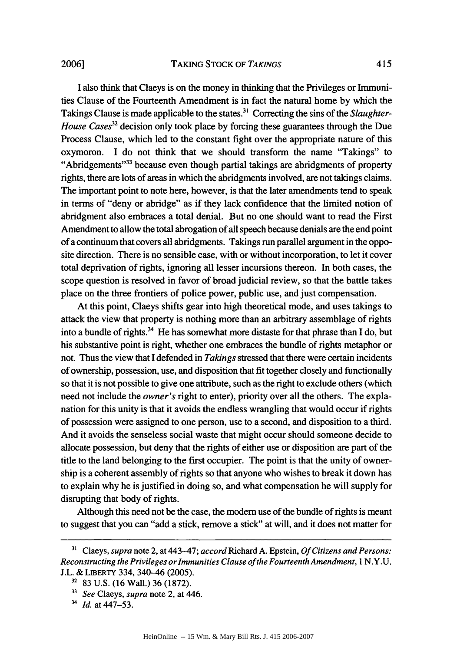I also think that Claeys is on the money in thinking that the Privileges or Immunities Clause of the Fourteenth Amendment is in fact the natural home by which the Takings Clause is made applicable to the states.<sup>31</sup> Correcting the sins of the *Slaughter-House Cases*<sup>32</sup> decision only took place by forcing these guarantees through the Due Process Clause, which led to the constant fight over the appropriate nature of this oxymoron. I do not think that we should transform the name "Takings" to "Abridgements"<sup>33</sup> because even though partial takings are abridgments of property rights, there are lots of areas in which the abridgments involved, are not takings claims. The important point to note here, however, is that the later amendments tend to speak in terms of "deny or abridge" as if they lack confidence that the limited notion of abridgment also embraces a total denial. But no one should want to read the First Amendment to allow the total abrogation of all speech because denials are the end point of a continuum that covers all abridgments. Takings run parallel argument in the opposite direction. There is no sensible case, with or without incorporation, to let it cover total deprivation of rights, ignoring all lesser incursions thereon. In both cases, the scope question is resolved in favor of broad judicial review, so that the battle takes place on the three frontiers of police power, public use, and just compensation.

At this point, Claeys shifts gear into high theoretical mode, and uses takings to attack the view that property is nothing more than an arbitrary assemblage of rights into a bundle of rights.<sup>34</sup> He has somewhat more distaste for that phrase than I do, but his substantive point is right, whether one embraces the bundle of rights metaphor or not. Thus the view that I defended in *Takings* stressed that there were certain incidents of ownership, possession, use, and disposition that fit together closely and functionally so that it is not possible to give one attribute, such as the right to exclude others (which need not include the *owner's* right to enter), priority over all the others. The explanation for this unity is that it avoids the endless wrangling that would occur if rights of possession were assigned to one person, use to a second, and disposition to a third. And it avoids the senseless social waste that might occur should someone decide to allocate possession, but deny that the rights of either use or disposition are part of the title to the land belonging to the first occupier. The point is that the unity of ownership is a coherent assembly of rights so that anyone who wishes to break it down has to explain why he is justified in doing so, and what compensation he will supply for disrupting that body of rights.

Although this need not be the case, the modem use of the bundle of rights is meant to suggest that you can "add a stick, remove a stick" at will, and it does not matter for

**<sup>&</sup>quot;1** Claeys, *supra* note 2, at 443-47; *accord* Richard A. Epstein, *Of Citizens and Persons: Reconstructing the Privileges or Immunities Clause of the Fourteenth Amendment, I* N.Y.U. J.L. & LIBERTY 334, 340-46 (2005).

<sup>32 83</sup> U.S. (16 Wall.) 36 (1872).

**<sup>13</sup>***See* Claeys, *supra* note 2, at 446.

<sup>&</sup>lt;sup>34</sup> *Id.* at 447–53.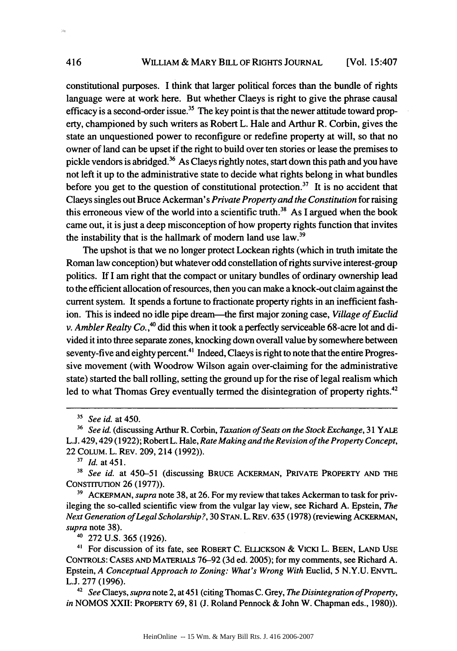constitutional purposes. I think that larger political forces than the bundle of rights language were at work here. But whether Claeys is right to give the phrase causal efficacy is a second-order issue.<sup>35</sup> The key point is that the newer attitude toward property, championed by such writers as Robert L. Hale and Arthur R. Corbin, gives the state an unquestioned power to reconfigure or redefine property at will, so that no owner of land can be upset if the right to build over ten stories or lease the premises to pickle vendors is abridged.<sup>36</sup> As Claeys rightly notes, start down this path and you have not left it up to the administrative state to decide what rights belong in what bundles before you get to the question of constitutional protection.<sup>37</sup> It is no accident that Claeys singles out Bruce Ackerman's *Private Property and the Constitution* for raising this erroneous view of the world into a scientific truth.<sup>38</sup> As I argued when the book came out, it is just a deep misconception of how property rights function that invites the instability that is the hallmark of modern land use law.<sup>39</sup>

The upshot is that we no longer protect Lockean rights (which in truth imitate the Roman law conception) but whatever odd constellation of rights survive interest-group politics. If I am right that the compact or unitary bundles of ordinary ownership lead to the efficient allocation of resources, then you can make a knock-out claim against the current system. It spends a fortune to fractionate property rights in an inefficient fashion. This is indeed no idle pipe dream—the first major zoning case, *Village of Euclid v. Ambler Realty Co.,4°* did this when it took a perfectly serviceable 68-acre lot and divided it into three separate zones, knocking down overall value by somewhere between seventy-five and eighty percent.<sup>41</sup> Indeed, Claeys is right to note that the entire Progressive movement (with Woodrow Wilson again over-claiming for the administrative state) started the ball rolling, setting the ground up for the rise of legal realism which led to what Thomas Grey eventually termed the disintegration of property rights.<sup>42</sup>

*<sup>37</sup>Id.* at 451.

<sup>38</sup>*See id.* at 450-51 (discussing BRUCE ACKERMAN, PRIVATE PROPERTY **AND** THE CONSTrrUTION 26 (1977)).

**3'** AcKEP MAN, *supra* note 38, at 26. For my review that takes Ackerman to task for privileging the so-called scientific view from the vulgar lay view, see Richard A. Epstein, *The Next Generation of Legal Scholarship?,* 30 STAN. L. REv. 635 (1978) (reviewing ACKERMAN, *supra* note 38).

<sup>40</sup>272 U.S. 365 (1926).

<sup>41</sup> For discussion of its fate, see ROBERT C. ELLICKSON & VICKI L. BEEN, LAND USE CONTROLS: CASES **AND** MATERIALS 76-92 (3d ed. 2005); for my comments, see Richard A. Epstein, *A Conceptual Approach to Zoning: What's Wrong With* Euclid, 5 N.Y.U. **ENVTL.** L.J. 277 (1996).

*42 See* Claeys, *supra* note 2, at 451 (citing Thomas C. Grey, *The Disintegration of Property, in* NOMOS XXII: PROPERTY 69, 81 (J. Roland Pennock & John W. Chapman eds., 1980)).

 $\mathbf{a}$ 

*<sup>&</sup>quot; See id.* at 450.

<sup>36</sup>*See id.* (discussing Arthur R. Corbin, *Taxation of Seats on the Stock Exchange,* 31 YALE L.J. 429,429 (1922); Robert L. Hale, *Rate Making and the Revision of the Property Concept,* 22 COLUM. L. REV. 209, 214 (1992)).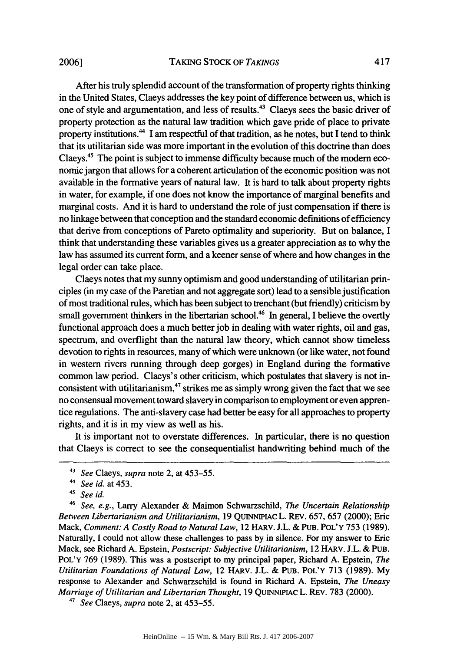After his truly splendid account of the transformation of property rights thinking

in the United States, Claeys addresses the key point of difference between us, which is one of style and argumentation, and less of results.<sup>43</sup> Claeys sees the basic driver of property protection as the natural law tradition which gave pride of place to private property institutions." I am respectful of that tradition, as he notes, but I tend to think that its utilitarian side was more important in the evolution of this doctrine than does Claeys.45 The point is subject to immense difficulty because much of the modem economic jargon that allows for a coherent articulation of the economic position was not available in the formative years of natural law. It is hard to talk about property rights in water, for example, if one does not know the importance of marginal benefits and marginal costs. And it is hard to understand the role of just compensation if there is no linkage between that conception and the standard economic definitions of efficiency that derive from conceptions of Pareto optimality and superiority. But on balance, I think that understanding these variables gives us a greater appreciation as to why the law has assumed its current form, and a keener sense of where and how changes in the legal order can take place.

Claeys notes that my sunny optimism and good understanding of utilitarian principles (in my case of the Paretian and not aggregate sort) lead to a sensible justification of most traditional rules, which has been subject to trenchant (but friendly) criticism by small government thinkers in the libertarian school.<sup>46</sup> In general, I believe the overtly functional approach does a much better job in dealing with water rights, oil and gas, spectrum, and overflight than the natural law theory, which cannot show timeless devotion to rights in resources, many of which were unknown (or like water, not found in western rivers running through deep gorges) in England during the formative common law period. Claeys's other criticism, which postulates that slavery is not inconsistent with utilitarianism, $47$  strikes me as simply wrong given the fact that we see no consensual movement toward slavery in comparison to employment or even apprentice regulations. The anti-slavery case had better be easy for all approaches to property rights, and it is in my view as well as his.

It is important not to overstate differences. In particular, there is no question that Claeys is correct to see the consequentialist handwriting behind much of the

*47 See* Claeys, *supra* note 2, at 453-55.

<sup>41</sup>*See* Claeys, *supra* note 2, at 453-55.

*<sup>44</sup>See id.* at 453.

<sup>&</sup>lt;sup>45</sup> See id.

*<sup>46</sup> See, e.g.,* Larry Alexander & Maimon Schwarzschild, *The Uncertain Relationship Between Libertarianism and Utilitarianism,* 19 QUINNIPIAc L. REv. 657, 657 (2000); Eric Mack, *Comment: A Costly Road to Natural Law,* 12 HARv. J.L. & **PUB.** POL'Y 753 (1989). Naturally, I could not allow these challenges to pass by in silence. For my answer to Eric Mack, see Richard A. Epstein, *Postscript: Subjective Utilitarianism,* 12 HARV. J.L. & **PUB.** POL'Y 769 (1989). This was a postscript to my principal paper, Richard A. Epstein, *The Utilitarian Foundations of Natural Law,* 12 HARv. J.L. & **PUB.** POL'Y **713** (1989). My response to Alexander and Schwarzschild is found in Richard A. Epstein, *The Uneasy Marriage of Utilitarian and Libertarian Thought,* 19 QUINNIPIAc L. REV. 783 (2000).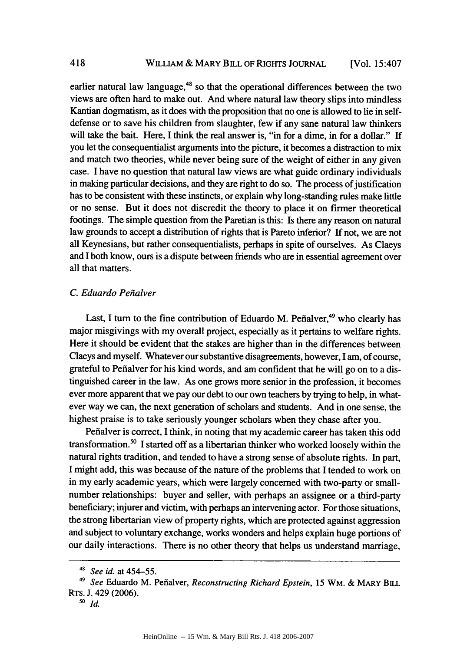earlier natural law language, $48$  so that the operational differences between the two views are often hard to make out. And where natural law theory slips into mindless Kantian dogmatism, as it does with the proposition that no one is allowed to lie in selfdefense or to save his children from slaughter, few if any sane natural law thinkers will take the bait. Here, I think the real answer is, "in for a dime, in for a dollar." If you let the consequentialist arguments into the picture, it becomes a distraction to mix and match two theories, while never being sure of the weight of either in any given case. I have no question that natural law views are what guide ordinary individuals in making particular decisions, and they are right to do so. The process of justification has to be consistent with these instincts, or explain why long-standing rules make little or no sense. But it does not discredit the theory to place it on firmer theoretical footings. The simple question from the Paretian is this: Is there any reason on natural law grounds to accept a distribution of rights that is Pareto inferior? If not, we are not all Keynesians, but rather consequentialists, perhaps in spite of ourselves. As Claeys and I both know, ours is a dispute between friends who are in essential agreement over all that matters.

## *C. Eduardo Pefialver*

Last, I turn to the fine contribution of Eduardo M. Peñalver,<sup>49</sup> who clearly has major misgivings with my overall project, especially as it pertains to welfare rights. Here it should be evident that the stakes are higher than in the differences between Claeys and myself. Whatever our substantive disagreements, however, I am, of course, grateful to Pefialver for his kind words, and am confident that he will go on to a distinguished career in the law. As one grows more senior in the profession, it becomes ever more apparent that we pay our debt to our own teachers by trying to help, in whatever way we can, the next generation of scholars and students. And in one sense, the highest praise is to take seriously younger scholars when they chase after you.

Pefialver is correct, I think, in noting that my academic career has taken this odd transformation.5° I started off as a libertarian thinker who worked loosely within the natural rights tradition, and tended to have a strong sense of absolute rights. In part, I might add, this was because of the nature of the problems that I tended to work on in my early academic years, which were largely concerned with two-party or smallnumber relationships: buyer and seller, with perhaps an assignee or a third-party beneficiary; injurer and victim, with perhaps an intervening actor. For those situations, the strong libertarian view of property rights, which are protected against aggression and subject to voluntary exchange, works wonders and helps explain huge portions of our daily interactions. There is no other theory that helps us understand marriage,

*<sup>48</sup> See id.* at 454-55.

<sup>49</sup>*See* Eduardo M. Pefialver, *Reconstructing Richard Epstein,* 15 WM. **&** MARY **BILL** RTs. J. 429 (2006).

*<sup>50</sup>id.*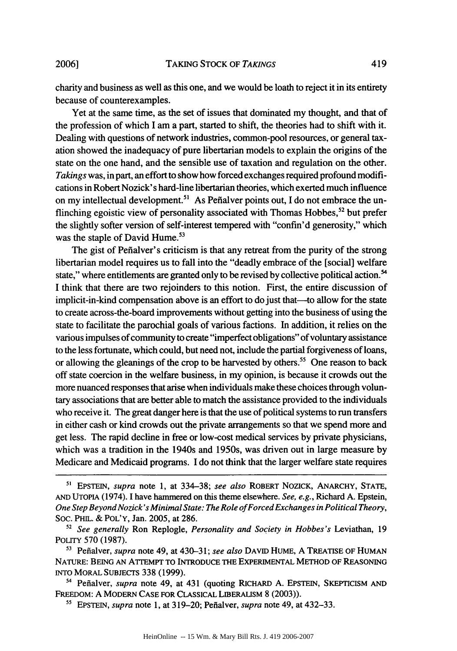charity and business as well as this one, and we would be loath to reject it in its entirety because of counterexamples.

Yet at the same time, as the set of issues that dominated my thought, and that of the profession of which I am a part, started to shift, the theories had to shift with it. Dealing with questions of network industries, common-pool resources, or general taxation showed the inadequacy of pure libertarian models to explain the origins of the state on the one hand, and the sensible use of taxation and regulation on the other. *Takings* was, in part, an effort to show how forced exchanges required profound modifications in Robert Nozick' s hard-line libertarian theories, which exerted much influence on my intellectual development.<sup>51</sup> As Peñalver points out, I do not embrace the unflinching egoistic view of personality associated with Thomas Hobbes,<sup>52</sup> but prefer the slightly softer version of self-interest tempered with "confin'd generosity," which was the staple of David Hume.<sup>53</sup>

The gist of Pefialver's criticism is that any retreat from the purity of the strong libertarian model requires us to fall into the "deadly embrace of the [social] welfare state," where entitlements are granted only to be revised by collective political action.<sup>54</sup> I think that there are two rejoinders to this notion. First, the entire discussion of implicit-in-kind compensation above is an effort to do just that-to allow for the state to create across-the-board improvements without getting into the business of using the state to facilitate the parochial goals of various factions. In addition, it relies on the various impulses of community to create "imperfect obligations" of voluntary assistance to the less fortunate, which could, but need not, include the partial forgiveness of loans, or allowing the gleanings of the crop to be harvested by others.<sup>55</sup> One reason to back off state coercion in the welfare business, in my opinion, is because it crowds out the more nuanced responses that arise when individuals make these choices through voluntary associations that are better able to match the assistance provided to the individuals who receive it. The great danger here is that the use of political systems to run transfers in either cash or kind crowds out the private arrangements so that we spend more and get less. The rapid decline in free or low-cost medical services by private physicians, which was a tradition in the 1940s and 1950s, was driven out in large measure by Medicare and Medicaid programs. I do not think that the larger welfare state requires

**"** Pefialver, *supra* note 49, at 430-31; *see also* DAvID HUME, A TREATISE OF HUMAN NATURE: BEING AN ATTEMPT TO INTRODUCE THE EXPERIMENTAL METHOD OF REASONING INTO MORAL SUBJECTS 338 (1999).

<sup>54</sup> Peñalver, *supra* note 49, at 431 (quoting RICHARD A. EPSTEIN, SKEPTICISM AND FREEDOM: A MODERN CASE FOR CLASSICAL LIBERALISM 8 (2003)).

**<sup>15</sup>**EPSTEIN, *supra* note 1, at 319-20; Pefialver, *supra* note 49, at 432-33.

*<sup>51</sup>*EPSTEIN, *supra* note 1, at 334-38; *see also* ROBERT NOZICK, ANARCHY, STATE, AND UTOPIA (1974). I have hammered on this theme elsewhere. *See, e.g.,* Richard A. Epstein, *One Step Beyond Nozick's Minimal State: The Role of Forced Exchanges in Political Theory,* Soc. PHIL. & POL'Y, Jan. 2005, at 286.

*<sup>52</sup> See generally* Ron Replogle, *Personality and Society in Hobbes's* Leviathan, 19 POLITY 570 (1987).